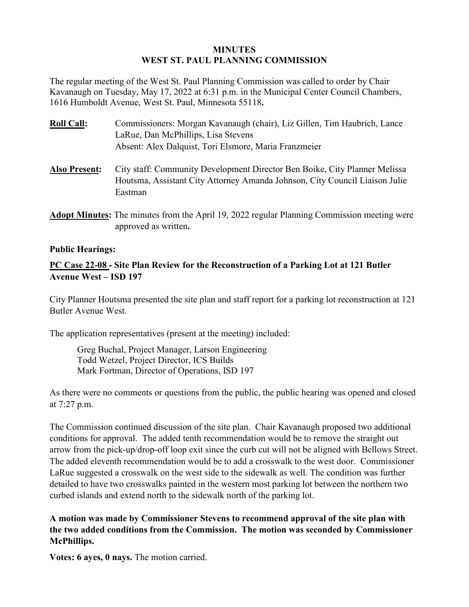#### **MINUTES WEST ST. PAUL PLANNING COMMISSION**

The regular meeting of the West St. Paul Planning Commission was called to order by Chair Kavanaugh on Tuesday, May 17, 2022 at 6:31 p.m. in the Municipal Center Council Chambers, 1616 Humboldt Avenue, West St. Paul, Minnesota 55118**.**

- **Roll Call:** Commissioners: Morgan Kavanaugh (chair), Liz Gillen, Tim Haubrich, Lance LaRue, Dan McPhillips, Lisa Stevens Absent: Alex Dalquist, Tori Elsmore, Maria Franzmeier
- **Also Present:** City staff: Community Development Director Ben Boike, City Planner Melissa Houtsma, Assistant City Attorney Amanda Johnson, City Council Liaison Julie Eastman
- **Adopt Minutes:** The minutes from the April 19, 2022 regular Planning Commission meeting were approved as written**.**

### **Public Hearings:**

# **PC Case 22-08 - Site Plan Review for the Reconstruction of a Parking Lot at 121 Butler Avenue West – ISD 197**

City Planner Houtsma presented the site plan and staff report for a parking lot reconstruction at 121 Butler Avenue West.

The application representatives (present at the meeting) included:

Greg Buchal, Project Manager, Larson Engineering Todd Wetzel, Project Director, ICS Builds Mark Fortman, Director of Operations, ISD 197

As there were no comments or questions from the public, the public hearing was opened and closed at 7:27 p.m.

The Commission continued discussion of the site plan. Chair Kavanaugh proposed two additional conditions for approval. The added tenth recommendation would be to remove the straight out arrow from the pick-up/drop-off loop exit since the curb cut will not be aligned with Bellows Street. The added eleventh recommendation would be to add a crosswalk to the west door. Commissioner LaRue suggested a crosswalk on the west side to the sidewalk as well. The condition was further detailed to have two crosswalks painted in the western most parking lot between the northern two curbed islands and extend north to the sidewalk north of the parking lot.

**A motion was made by Commissioner Stevens to recommend approval of the site plan with the two added conditions from the Commission. The motion was seconded by Commissioner McPhillips.**

**Votes: 6 ayes, 0 nays.** The motion carried.